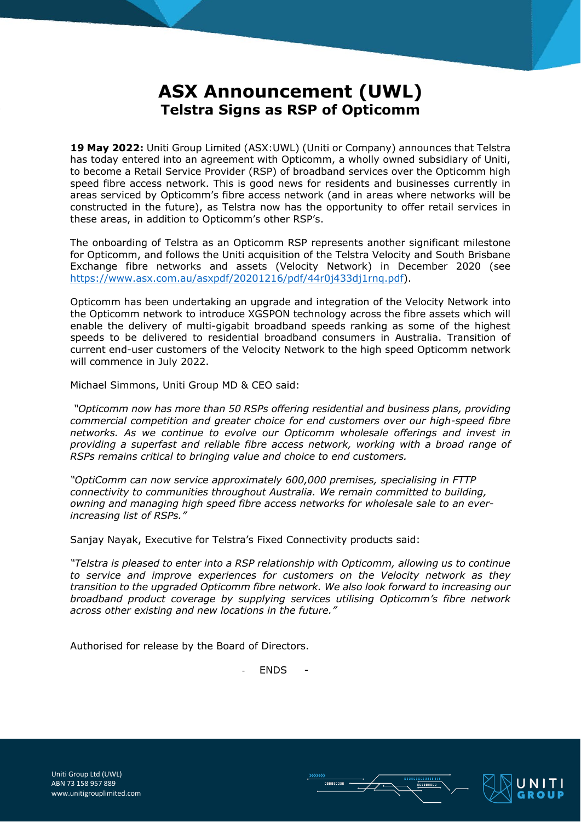## **ASX Announcement (UWL) Telstra Signs as RSP of Opticomm**

**19 May 2022:** Uniti Group Limited (ASX:UWL) (Uniti or Company) announces that Telstra has today entered into an agreement with Opticomm, a wholly owned subsidiary of Uniti, to become a Retail Service Provider (RSP) of broadband services over the Opticomm high speed fibre access network. This is good news for residents and businesses currently in areas serviced by Opticomm's fibre access network (and in areas where networks will be constructed in the future), as Telstra now has the opportunity to offer retail services in these areas, in addition to Opticomm's other RSP's.

The onboarding of Telstra as an Opticomm RSP represents another significant milestone for Opticomm, and follows the Uniti acquisition of the Telstra Velocity and South Brisbane Exchange fibre networks and assets (Velocity Network) in December 2020 (see [https://www.asx.com.au/asxpdf/20201216/pdf/44r0j433dj1rnq.pdf\)](https://www.asx.com.au/asxpdf/20201216/pdf/44r0j433dj1rnq.pdf).

Opticomm has been undertaking an upgrade and integration of the Velocity Network into the Opticomm network to introduce XGSPON technology across the fibre assets which will enable the delivery of multi-gigabit broadband speeds ranking as some of the highest speeds to be delivered to residential broadband consumers in Australia. Transition of current end-user customers of the Velocity Network to the high speed Opticomm network will commence in July 2022.

Michael Simmons, Uniti Group MD & CEO said:

*"Opticomm now has more than 50 RSPs offering residential and business plans, providing commercial competition and greater choice for end customers over our high-speed fibre networks. As we continue to evolve our Opticomm wholesale offerings and invest in providing a superfast and reliable fibre access network, working with a broad range of RSPs remains critical to bringing value and choice to end customers.*

*"OptiComm can now service approximately 600,000 premises, specialising in FTTP connectivity to communities throughout Australia. We remain committed to building, owning and managing high speed fibre access networks for wholesale sale to an everincreasing list of RSPs."*

Sanjay Nayak, Executive for Telstra's Fixed Connectivity products said:

*"Telstra is pleased to enter into a RSP relationship with Opticomm, allowing us to continue to service and improve experiences for customers on the Velocity network as they transition to the upgraded Opticomm fibre network. We also look forward to increasing our broadband product coverage by supplying services utilising Opticomm's fibre network across other existing and new locations in the future."*

Authorised for release by the Board of Directors.

- ENDS -